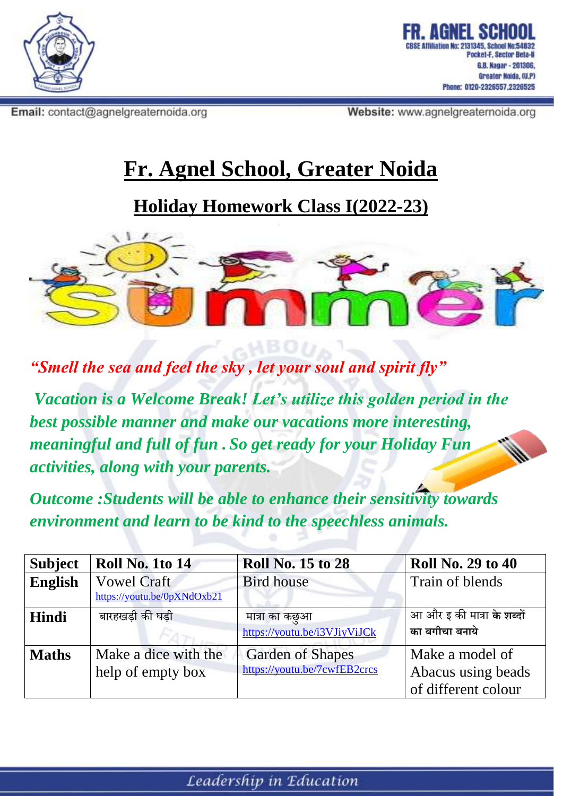

Email: contact@agnelgreaternoida.org

ocket-F. Sector Beta-II G.B. Nagar - 201306, Greater Noida, (U,P) Phone: 0120-2326557.2326525

Website: www.agnelgreaternoida.org

## **Fr. Agnel School, Greater Noida**

**Holiday Homework Class I(2022-23)**



*"Smell the sea and feel the sky , let your soul and spirit fly"*

*Vacation is a Welcome Break! Let's utilize this golden period in the best possible manner and make our vacations more interesting, meaningful and full of fun . So get ready for your Holiday Fun activities, along with your parents.*

*Outcome :Students will be able to enhance their sensitivity towards environment and learn to be kind to the speechless animals.*

| <b>Subject</b> | <b>Roll No. 1to 14</b>                            | <b>Roll No. 15 to 28</b>                                | <b>Roll No. 29 to 40</b>                                     |
|----------------|---------------------------------------------------|---------------------------------------------------------|--------------------------------------------------------------|
| <b>English</b> | <b>Vowel Craft</b><br>https://youtu.be/0pXNdOxb21 | <b>Bird house</b>                                       | Train of blends                                              |
| Hindi          | बारहखड़ी की घड़ी                                  | मात्रा का कछुआ<br>https://youtu.be/i3VJiyViJCk          | आ और इ की मात्रा के शब्दों<br>का बगीचा बनाये                 |
| <b>Maths</b>   | Make a dice with the<br>help of empty box         | <b>Garden of Shapes</b><br>https://youtu.be/7cwfEB2crcs | Make a model of<br>Abacus using beads<br>of different colour |